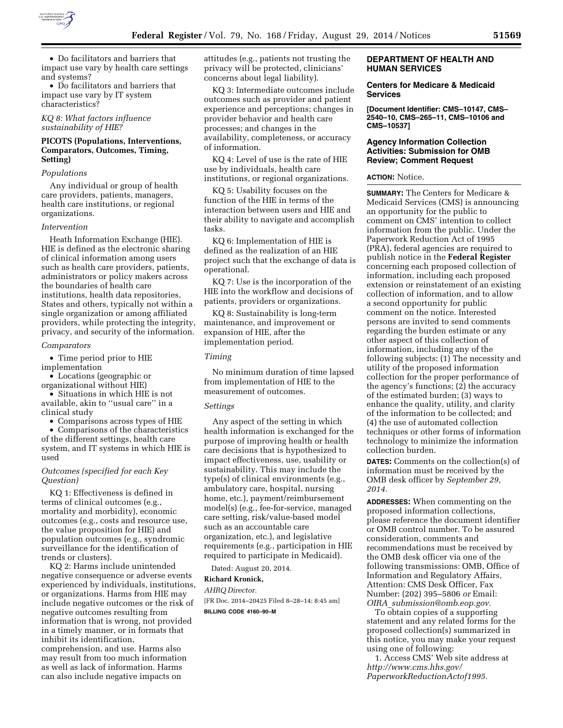

• Do facilitators and barriers that impact use vary by health care settings and systems?

• Do facilitators and barriers that impact use vary by IT system characteristics?

*KQ 8: What factors influence sustainability of HIE?* 

# **PICOTS (Populations, Interventions, Comparators, Outcomes, Timing, Setting)**

#### *Populations*

Any individual or group of health care providers, patients, managers, health care institutions, or regional organizations.

#### *Intervention*

Heath Information Exchange (HIE). HIE is defined as the electronic sharing of clinical information among users such as health care providers, patients, administrators or policy makers across the boundaries of health care institutions, health data repositories, States and others, typically not within a single organization or among affiliated providers, while protecting the integrity, privacy, and security of the information.

#### *Comparators*

• Time period prior to HIE implementation

• Locations (geographic or organizational without HIE)

• Situations in which HIE is not available, akin to ''usual care'' in a clinical study

• Comparisons across types of HIE

• Comparisons of the characteristics of the different settings, health care system, and IT systems in which HIE is used

## *Outcomes (specified for each Key Question)*

KQ 1: Effectiveness is defined in terms of clinical outcomes (e.g., mortality and morbidity), economic outcomes (e.g., costs and resource use, the value proposition for HIE) and population outcomes (e.g., syndromic surveillance for the identification of trends or clusters).

KQ 2: Harms include unintended negative consequence or adverse events experienced by individuals, institutions, or organizations. Harms from HIE may include negative outcomes or the risk of negative outcomes resulting from information that is wrong, not provided in a timely manner, or in formats that inhibit its identification, comprehension, and use. Harms also may result from too much information as well as lack of information. Harms can also include negative impacts on

attitudes (e.g., patients not trusting the privacy will be protected, clinicians' concerns about legal liability).

KQ 3: Intermediate outcomes include outcomes such as provider and patient experience and perceptions; changes in provider behavior and health care processes; and changes in the availability, completeness, or accuracy of information.

KQ 4: Level of use is the rate of HIE use by individuals, health care institutions, or regional organizations.

KQ 5: Usability focuses on the function of the HIE in terms of the interaction between users and HIE and their ability to navigate and accomplish tasks.

KQ 6: Implementation of HIE is defined as the realization of an HIE project such that the exchange of data is operational.

KQ 7: Use is the incorporation of the HIE into the workflow and decisions of patients, providers or organizations.

KQ 8: Sustainability is long-term maintenance, and improvement or expansion of HIE, after the implementation period.

#### *Timing*

No minimum duration of time lapsed from implementation of HIE to the measurement of outcomes.

#### *Settings*

Any aspect of the setting in which health information is exchanged for the purpose of improving health or health care decisions that is hypothesized to impact effectiveness, use, usability or sustainability. This may include the type(s) of clinical environments (e.g., ambulatory care, hospital, nursing home, etc.), payment/reimbursement model(s) (e.g., fee-for-service, managed care setting, risk/value-based model such as an accountable care organization, etc.), and legislative requirements (e.g., participation in HIE required to participate in Medicaid).

Dated: August 20, 2014.

### **Richard Kronick,**

*AHRQ Director.*  [FR Doc. 2014–20425 Filed 8–28–14; 8:45 am]

## **BILLING CODE 4160–90–M**

## **DEPARTMENT OF HEALTH AND HUMAN SERVICES**

### **Centers for Medicare & Medicaid Services**

**[Document Identifier: CMS–10147, CMS– 2540–10, CMS–265–11, CMS–10106 and CMS–10537]** 

## **Agency Information Collection Activities: Submission for OMB Review; Comment Request**

### **ACTION:** Notice.

**SUMMARY:** The Centers for Medicare & Medicaid Services (CMS) is announcing an opportunity for the public to comment on CMS' intention to collect information from the public. Under the Paperwork Reduction Act of 1995 (PRA), federal agencies are required to publish notice in the **Federal Register**  concerning each proposed collection of information, including each proposed extension or reinstatement of an existing collection of information, and to allow a second opportunity for public comment on the notice. Interested persons are invited to send comments regarding the burden estimate or any other aspect of this collection of information, including any of the following subjects: (1) The necessity and utility of the proposed information collection for the proper performance of the agency's functions; (2) the accuracy of the estimated burden; (3) ways to enhance the quality, utility, and clarity of the information to be collected; and (4) the use of automated collection techniques or other forms of information technology to minimize the information collection burden.

**DATES:** Comments on the collection(s) of information must be received by the OMB desk officer by *September 29, 2014.* 

**ADDRESSES:** When commenting on the proposed information collections, please reference the document identifier or OMB control number. To be assured consideration, comments and recommendations must be received by the OMB desk officer via one of the following transmissions: OMB, Office of Information and Regulatory Affairs, Attention: CMS Desk Officer, Fax Number: (202) 395–5806 *or* Email: *OIRA*\_*[submission@omb.eop.gov.](mailto:OIRA_submission@omb.eop.gov)* 

To obtain copies of a supporting statement and any related forms for the proposed collection(s) summarized in this notice, you may make your request using one of following:

1. Access CMS' Web site address at *[http://www.cms.hhs.gov/](http://www.cms.hhs.gov/PaperworkReductionActof1995) [PaperworkReductionActof1995.](http://www.cms.hhs.gov/PaperworkReductionActof1995)*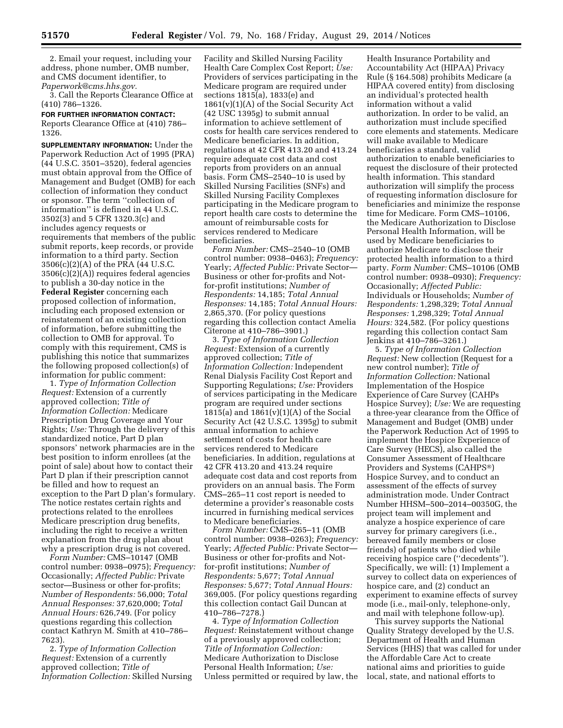2. Email your request, including your address, phone number, OMB number, and CMS document identifier, to *[Paperwork@cms.hhs.gov.](mailto:Paperwork@cms.hhs.gov)* 

3. Call the Reports Clearance Office at (410) 786–1326.

**FOR FURTHER INFORMATION CONTACT:**  Reports Clearance Office at (410) 786– 1326.

**SUPPLEMENTARY INFORMATION:** Under the Paperwork Reduction Act of 1995 (PRA) (44 U.S.C. 3501–3520), federal agencies must obtain approval from the Office of Management and Budget (OMB) for each collection of information they conduct or sponsor. The term ''collection of information'' is defined in 44 U.S.C. 3502(3) and 5 CFR 1320.3(c) and includes agency requests or requirements that members of the public submit reports, keep records, or provide information to a third party. Section 3506(c)(2)(A) of the PRA (44 U.S.C. 3506(c)(2)(A)) requires federal agencies to publish a 30-day notice in the **Federal Register** concerning each proposed collection of information, including each proposed extension or reinstatement of an existing collection of information, before submitting the collection to OMB for approval. To comply with this requirement, CMS is publishing this notice that summarizes the following proposed collection(s) of information for public comment:

1. *Type of Information Collection Request:* Extension of a currently approved collection; *Title of Information Collection:* Medicare Prescription Drug Coverage and Your Rights; *Use:* Through the delivery of this standardized notice, Part D plan sponsors' network pharmacies are in the best position to inform enrollees (at the point of sale) about how to contact their Part D plan if their prescription cannot be filled and how to request an exception to the Part D plan's formulary. The notice restates certain rights and protections related to the enrollees Medicare prescription drug benefits, including the right to receive a written explanation from the drug plan about why a prescription drug is not covered.

*Form Number:* CMS–10147 (OMB control number: 0938–0975); *Frequency:*  Occasionally; *Affected Public:* Private sector—Business or other for-profits; *Number of Respondents:* 56,000; *Total Annual Responses:* 37,620,000; *Total Annual Hours:* 626,749. (For policy questions regarding this collection contact Kathryn M. Smith at 410–786– 7623).

2. *Type of Information Collection Request:* Extension of a currently approved collection; *Title of Information Collection:* Skilled Nursing

Facility and Skilled Nursing Facility Health Care Complex Cost Report; *Use:*  Providers of services participating in the Medicare program are required under sections 1815(a), 1833(e) and  $1861(v)(1)(A)$  of the Social Security Act (42 USC 1395g) to submit annual information to achieve settlement of costs for health care services rendered to Medicare beneficiaries. In addition, regulations at 42 CFR 413.20 and 413.24 require adequate cost data and cost reports from providers on an annual basis. Form CMS–2540–10 is used by Skilled Nursing Facilities (SNFs) and Skilled Nursing Facility Complexes participating in the Medicare program to report health care costs to determine the amount of reimbursable costs for services rendered to Medicare beneficiaries.

*Form Number:* CMS–2540–10 (OMB control number: 0938–0463); *Frequency:*  Yearly; *Affected Public:* Private Sector— Business or other for-profits and Notfor-profit institutions; *Number of Respondents:* 14,185; *Total Annual Responses:* 14,185; *Total Annual Hours:*  2,865,370. (For policy questions regarding this collection contact Amelia Citerone at 410–786–3901.)

3. *Type of Information Collection Request:* Extension of a currently approved collection; *Title of Information Collection:* Independent Renal Dialysis Facility Cost Report and Supporting Regulations; *Use:* Providers of services participating in the Medicare program are required under sections 1815(a) and  $1861(v)(1)(A)$  of the Social Security Act (42 U.S.C. 1395g) to submit annual information to achieve settlement of costs for health care services rendered to Medicare beneficiaries. In addition, regulations at 42 CFR 413.20 and 413.24 require adequate cost data and cost reports from providers on an annual basis. The Form CMS–265–11 cost report is needed to determine a provider's reasonable costs incurred in furnishing medical services to Medicare beneficiaries.

*Form Number:* CMS–265–11 (OMB control number: 0938–0263); *Frequency:*  Yearly; *Affected Public:* Private Sector— Business or other for-profits and Notfor-profit institutions; *Number of Respondents:* 5,677; *Total Annual Responses:* 5,677; *Total Annual Hours:*  369,005. (For policy questions regarding this collection contact Gail Duncan at 410–786–7278.)

4. *Type of Information Collection Request:* Reinstatement without change of a previously approved collection; *Title of Information Collection:*  Medicare Authorization to Disclose Personal Health Information; *Use:*  Unless permitted or required by law, the

Health Insurance Portability and Accountability Act (HIPAA) Privacy Rule (§ 164.508) prohibits Medicare (a HIPAA covered entity) from disclosing an individual's protected health information without a valid authorization. In order to be valid, an authorization must include specified core elements and statements. Medicare will make available to Medicare beneficiaries a standard, valid authorization to enable beneficiaries to request the disclosure of their protected health information. This standard authorization will simplify the process of requesting information disclosure for beneficiaries and minimize the response time for Medicare. Form CMS–10106, the Medicare Authorization to Disclose Personal Health Information, will be used by Medicare beneficiaries to authorize Medicare to disclose their protected health information to a third party. *Form Number:* CMS–10106 (OMB control number: 0938–0930); *Frequency:*  Occasionally; *Affected Public:*  Individuals or Households; *Number of Respondents:* 1,298,329; *Total Annual Responses:* 1,298,329; *Total Annual Hours:* 324,582. (For policy questions regarding this collection contact Sam Jenkins at 410–786–3261.)

5. *Type of Information Collection Request:* New collection (Request for a new control number); *Title of Information Collection:* National Implementation of the Hospice Experience of Care Survey (CAHPs Hospice Survey); *Use:* We are requesting a three-year clearance from the Office of Management and Budget (OMB) under the Paperwork Reduction Act of 1995 to implement the Hospice Experience of Care Survey (HECS), also called the Consumer Assessment of Healthcare Providers and Systems (CAHPS®) Hospice Survey, and to conduct an assessment of the effects of survey administration mode. Under Contract Number HHSM–500–2014–00350G, the project team will implement and analyze a hospice experience of care survey for primary caregivers (i.e., bereaved family members or close friends) of patients who died while receiving hospice care (''decedents''). Specifically, we will: (1) Implement a survey to collect data on experiences of hospice care, and (2) conduct an experiment to examine effects of survey mode (i.e., mail-only, telephone-only, and mail with telephone follow-up).

This survey supports the National Quality Strategy developed by the U.S. Department of Health and Human Services (HHS) that was called for under the Affordable Care Act to create national aims and priorities to guide local, state, and national efforts to